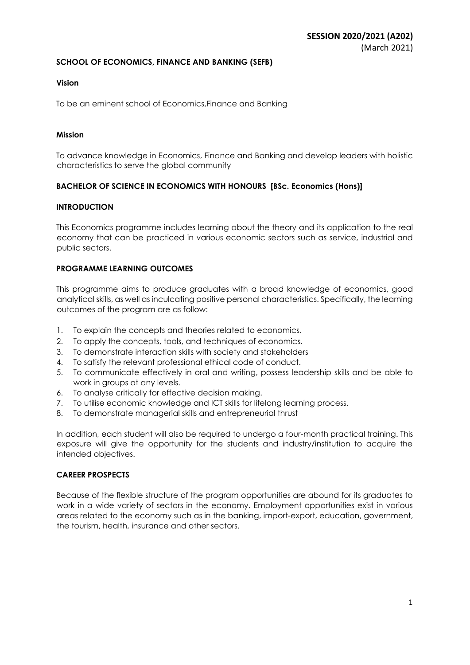## **SCHOOL OF ECONOMICS, FINANCE AND BANKING (SEFB)**

## **Vision**

To be an eminent school of Economics,Finance and Banking

## **Mission**

To advance knowledge in Economics, Finance and Banking and develop leaders with holistic characteristics to serve the global community

## **BACHELOR OF SCIENCE IN ECONOMICS WITH HONOURS [BSc. Economics (Hons)]**

## **INTRODUCTION**

This Economics programme includes learning about the theory and its application to the real economy that can be practiced in various economic sectors such as service, industrial and public sectors.

## **PROGRAMME LEARNING OUTCOMES**

This programme aims to produce graduates with a broad knowledge of economics, good analytical skills, as well as inculcating positive personal characteristics. Specifically, the learning outcomes of the program are as follow:

- 1. To explain the concepts and theories related to economics.
- 2. To apply the concepts, tools, and techniques of economics.
- 3. To demonstrate interaction skills with society and stakeholders
- 4. To satisfy the relevant professional ethical code of conduct.
- 5. To communicate effectively in oral and writing, possess leadership skills and be able to work in groups at any levels.
- 6. To analyse critically for effective decision making.
- 7. To utilise economic knowledge and ICT skills for lifelong learning process.
- 8. To demonstrate managerial skills and entrepreneurial thrust

In addition, each student will also be required to undergo a four-month practical training. This exposure will give the opportunity for the students and industry/institution to acquire the intended objectives.

## **CAREER PROSPECTS**

Because of the flexible structure of the program opportunities are abound for its graduates to work in a wide variety of sectors in the economy. Employment opportunities exist in various areas related to the economy such as in the banking, import-export, education, government, the tourism, health, insurance and other sectors.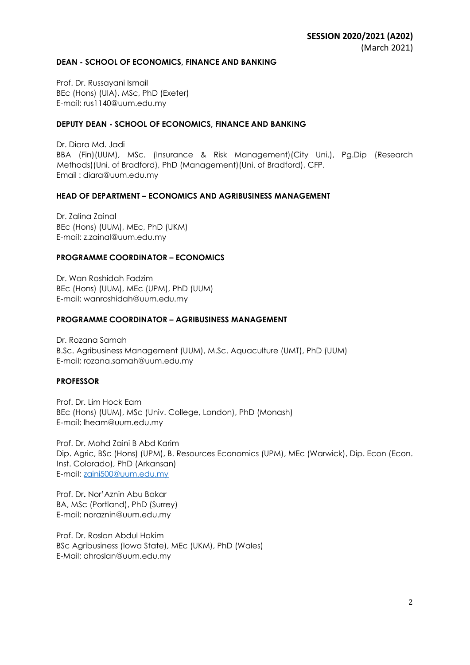#### **DEAN - SCHOOL OF ECONOMICS, FINANCE AND BANKING**

Prof. Dr. Russayani Ismail BEc (Hons) (UIA), MSc, PhD (Exeter) E-mail: rus1140@uum.edu.my

### **DEPUTY DEAN - SCHOOL OF ECONOMICS, FINANCE AND BANKING**

Dr. Diara Md. Jadi BBA (Fin)(UUM), MSc. (Insurance & Risk Management)(City Uni.), Pg.Dip (Research Methods)(Uni. of Bradford), PhD (Management)(Uni. of Bradford), CFP. Email : diara@uum.edu.my

#### **HEAD OF DEPARTMENT – ECONOMICS AND AGRIBUSINESS MANAGEMENT**

Dr. Zalina Zainal BEc (Hons) (UUM), MEc, PhD (UKM) E-mail: z.zainal@uum.edu.my

#### **PROGRAMME COORDINATOR – ECONOMICS**

Dr. Wan Roshidah Fadzim BEc (Hons) (UUM), MEc (UPM), PhD (UUM) E-mail: wanroshidah@uum.edu.my

#### **PROGRAMME COORDINATOR – AGRIBUSINESS MANAGEMENT**

Dr. Rozana Samah B.Sc. Agribusiness Management (UUM), M.Sc. Aquaculture (UMT), PhD (UUM) E-mail: rozana.samah@uum.edu.my

### **PROFESSOR**

Prof. Dr. Lim Hock Eam BEc (Hons) (UUM), MSc (Univ. College, London), PhD (Monash) E-mail: lheam@uum.edu.my

Prof. Dr. Mohd Zaini B Abd Karim Dip. Agric, BSc (Hons) (UPM), B. Resources Economics (UPM), MEc (Warwick), Dip. Econ (Econ. Inst. Colorado), PhD (Arkansan) E-mail: [zaini500@uum.edu.my](mailto:zaini500@uum.edu.my)

Prof. Dr**.** Nor'Aznin Abu Bakar BA, MSc (Portland), PhD (Surrey) E-mail: noraznin@uum.edu.my

Prof. Dr. Roslan Abdul Hakim BSc Agribusiness (Iowa State), MEc (UKM), PhD (Wales) E-Mail: ahroslan@uum.edu.my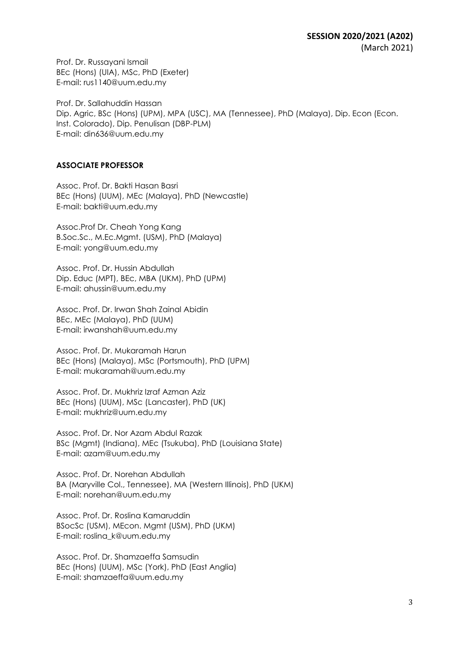Prof. Dr. Russayani Ismail BEc (Hons) (UIA), MSc, PhD (Exeter) E-mail: rus1140@uum.edu.my

Prof. Dr. Sallahuddin Hassan Dip. Agric, BSc (Hons) (UPM), MPA (USC), MA (Tennessee), PhD (Malaya), Dip. Econ (Econ. Inst. Colorado), Dip. Penulisan (DBP-PLM) E-mail: din636@uum.edu.my

## **ASSOCIATE PROFESSOR**

Assoc. Prof. Dr. Bakti Hasan Basri BEc (Hons) (UUM), MEc (Malaya), PhD (Newcastle) E-mail: bakti@uum.edu.my

Assoc.Prof Dr. Cheah Yong Kang B.Soc.Sc., M.Ec.Mgmt. (USM), PhD (Malaya) E-mail: yong@uum.edu.my

Assoc. Prof. Dr. Hussin Abdullah Dip. Educ (MPT), BEc, MBA (UKM), PhD (UPM) E-mail: ahussin@uum.edu.my

Assoc. Prof. Dr. Irwan Shah Zainal Abidin BEc, MEc (Malaya), PhD (UUM) E-mail: irwanshah@uum.edu.my

Assoc. Prof. Dr. Mukaramah Harun BEc (Hons) (Malaya), MSc (Portsmouth), PhD (UPM) E-mail: mukaramah@uum.edu.my

Assoc. Prof. Dr. Mukhriz Izraf Azman Aziz BEc (Hons) (UUM), MSc (Lancaster), PhD (UK) E-mail: mukhriz@uum.edu.my

Assoc. Prof. Dr. Nor Azam Abdul Razak BSc (Mgmt) (Indiana), MEc (Tsukuba), PhD (Louisiana State) E-mail: azam@uum.edu.my

Assoc. Prof. Dr. Norehan Abdullah BA (Maryville Col., Tennessee), MA (Western Illinois), PhD (UKM) E-mail: norehan@uum.edu.my

Assoc. Prof. Dr. Roslina Kamaruddin BSocSc (USM), MEcon. Mgmt (USM), PhD (UKM) E-mail: roslina\_k@uum.edu.my

Assoc. Prof. Dr. Shamzaeffa Samsudin BEc (Hons) (UUM), MSc (York), PhD (East Anglia) E-mail: shamzaeffa@uum.edu.my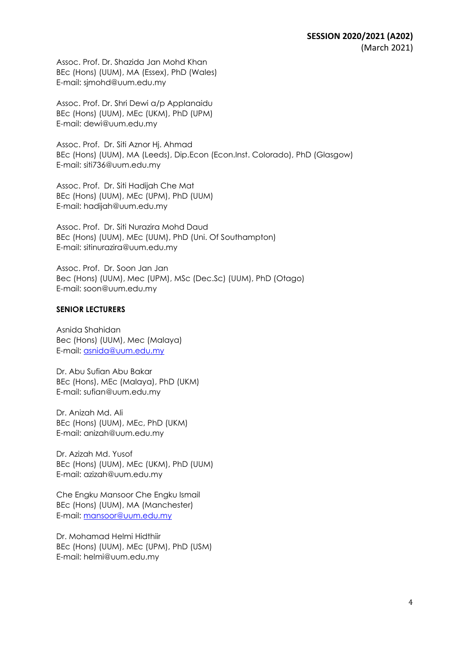Assoc. Prof. Dr. Shazida Jan Mohd Khan BEc (Hons) (UUM), MA (Essex), PhD (Wales) E-mail: sjmohd@uum.edu.my

Assoc. Prof. Dr. Shri Dewi a/p Applanaidu BEc (Hons) (UUM), MEc (UKM), PhD (UPM) E-mail: dewi@uum.edu.my

Assoc. Prof. Dr. Siti Aznor Hj. Ahmad BEc (Hons) (UUM), MA (Leeds), Dip.Econ (Econ.Inst. Colorado), PhD (Glasgow) E-mail: siti736@uum.edu.my

Assoc. Prof. Dr. Siti Hadijah Che Mat BEc (Hons) (UUM), MEc (UPM), PhD (UUM) E-mail: hadijah@uum.edu.my

Assoc. Prof. Dr. Siti Nurazira Mohd Daud BEc (Hons) (UUM), MEc (UUM), PhD (Uni. Of Southampton) E-mail: sitinurazira@uum.edu.my

Assoc. Prof. Dr. Soon Jan Jan Bec (Hons) (UUM), Mec (UPM), MSc (Dec.Sc) (UUM), PhD (Otago) E-mail: soon@uum.edu.my

## **SENIOR LECTURERS**

Asnida Shahidan Bec (Hons) (UUM), Mec (Malaya) E-mail: asnida@uum.edu.my

Dr. Abu Sufian Abu Bakar BEc (Hons), MEc (Malaya), PhD (UKM) E-mail: sufian@uum.edu.my

Dr. Anizah Md. Ali BEc (Hons) (UUM), MEc, PhD (UKM) E-mail: anizah@uum.edu.my

Dr. Azizah Md. Yusof BEc (Hons) (UUM), MEc (UKM), PhD (UUM) E-mail: azizah@uum.edu.my

Che Engku Mansoor Che Engku Ismail BEc (Hons) (UUM), MA (Manchester) E-mail: mansoor@uum.edu.my

Dr. Mohamad Helmi Hidthiir BEc (Hons) (UUM), MEc (UPM), PhD (USM) E-mail: helmi@uum.edu.my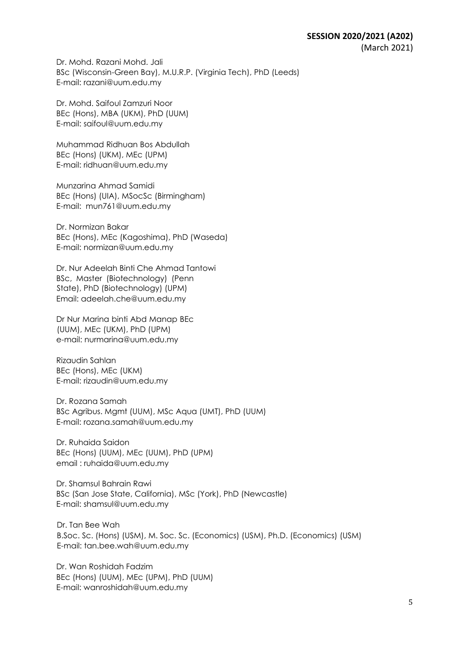Dr. Mohd. Razani Mohd. Jali BSc (Wisconsin-Green Bay), M.U.R.P. (Virginia Tech), PhD (Leeds) E-mail: razani@uum.edu.my

Dr. Mohd. Saifoul Zamzuri Noor BEc (Hons), MBA (UKM), PhD (UUM) E-mail: saifoul@uum.edu.my

Muhammad Ridhuan Bos Abdullah BEc (Hons) (UKM), MEc (UPM) E-mail: ridhuan@uum.edu.my

Munzarina Ahmad Samidi BEc (Hons) (UIA), MSocSc (Birmingham) E-mail: mun761@uum.edu.my

Dr. Normizan Bakar BEc (Hons), MEc (Kagoshima), PhD (Waseda) E-mail: normizan@uum.edu.my

Dr. Nur Adeelah Binti Che Ahmad Tantowi BSc, Master (Biotechnology) (Penn State), PhD (Biotechnology) (UPM) Email: adeelah.che@uum.edu.my

Dr Nur Marina binti Abd Manap BEc (UUM), MEc (UKM), PhD (UPM) e-mail: nurmarina@uum.edu.my

Rizaudin Sahlan BEc (Hons), MEc (UKM) E-mail: rizaudin@uum.edu.my

Dr. Rozana Samah BSc Agribus. Mgmt (UUM), MSc Aqua (UMT), PhD (UUM) E-mail: rozana.samah@uum.edu.my

Dr. Ruhaida Saidon BEc (Hons) (UUM), MEc (UUM), PhD (UPM) email : ruhaida@uum.edu.my

Dr. Shamsul Bahrain Rawi BSc (San Jose State, California), MSc (York), PhD (Newcastle) E-mail: shamsul@uum.edu.my

Dr. Tan Bee Wah B.Soc. Sc. (Hons) (USM), M. Soc. Sc. (Economics) (USM), Ph.D. (Economics) (USM) E-mail: tan.bee.wah@uum.edu.my

Dr. Wan Roshidah Fadzim BEc (Hons) (UUM), MEc (UPM), PhD (UUM) E-mail: wanroshidah@uum.edu.my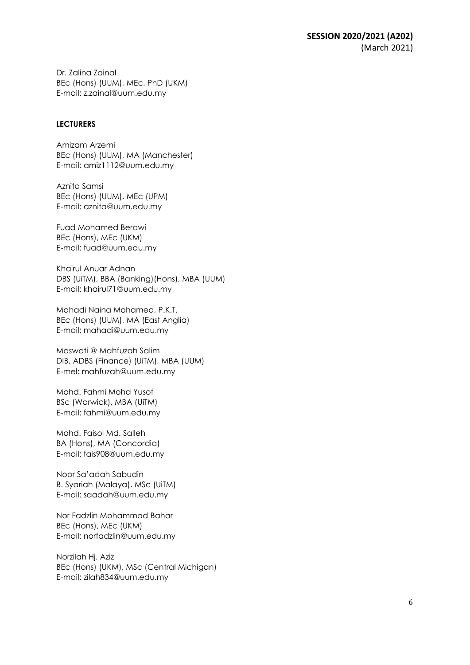Dr. Zalina Zainal BEc (Hons) (UUM), MEc, PhD (UKM) E-mail: z.zainal@uum.edu.my

#### **LECTURERS**

Amizam Arzemi BEc (Hons) (UUM), MA (Manchester) E-mail: amiz1112@uum.edu.my

Aznita Samsi BEc (Hons) (UUM), MEc (UPM) E-mail: aznita@uum.edu.my

Fuad Mohamed Berawi BEc (Hons), MEc (UKM) E-mail: fuad@uum.edu.my

Khairul Anuar Adnan DBS (UiTM), BBA (Banking)(Hons), MBA (UUM) E-mail: khairul71@uum.edu.my

Mahadi Naina Mohamed, P.K.T. BEc (Hons) (UUM), MA (East Anglia) E-mail: mahadi@uum.edu.my

Maswati @ Mahfuzah Salim DIB, ADBS (Finance) (UiTM), MBA (UUM) E-mel: mahfuzah@uum.edu.my

Mohd. Fahmi Mohd Yusof BSc (Warwick), MBA (UiTM) E-mail: fahmi@uum.edu.my

Mohd. Faisol Md. Salleh BA (Hons), MA (Concordia) E-mail: fais908@uum.edu.my

Noor Sa'adah Sabudin B. Syariah (Malaya), MSc (UiTM) E-mail: saadah@uum.edu.my

Nor Fadzlin Mohammad Bahar BEc (Hons), MEc (UKM) E-mail: norfadzlin@uum.edu.my

Norzilah Hj. Aziz BEc (Hons) (UKM), MSc (Central Michigan) E-mail: zilah834@uum.edu.my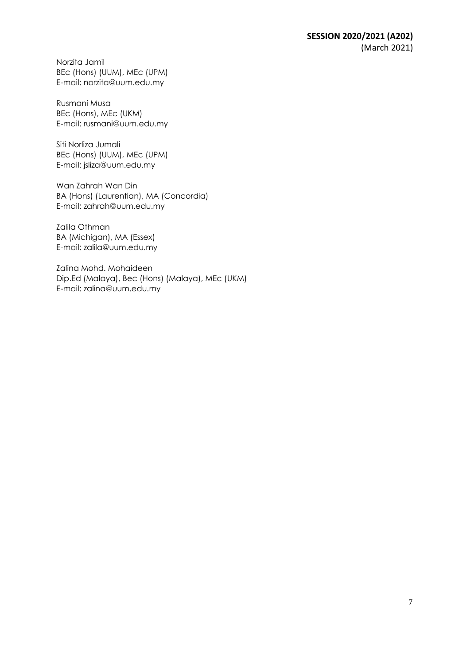Norzita Jamil BEc (Hons) (UUM), MEc (UPM) E-mail: norzita@uum.edu.my

Rusmani Musa BEc (Hons), MEc (UKM) E-mail: rusmani@uum.edu.my

Siti Norliza Jumali BEc (Hons) (UUM), MEc (UPM) E-mail: jsliza@uum.edu.my

Wan Zahrah Wan Din BA (Hons) (Laurentian), MA (Concordia) E-mail: zahrah@uum.edu.my

Zalila Othman BA (Michigan), MA (Essex) E-mail: zalila@uum.edu.my

Zalina Mohd. Mohaideen Dip.Ed (Malaya), Bec (Hons) (Malaya), MEc (UKM) E-mail: zalina@uum.edu.my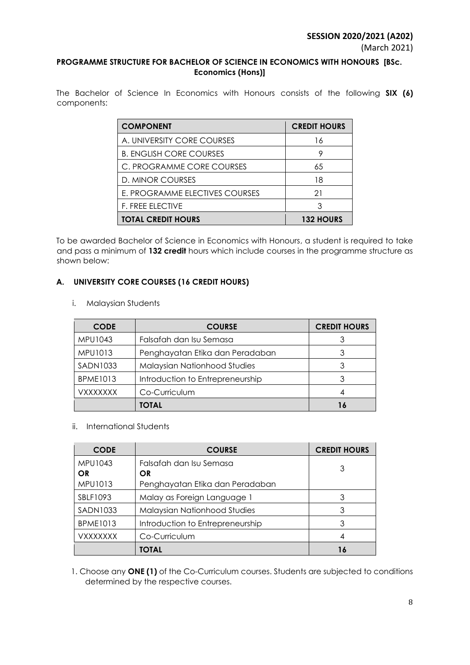## **PROGRAMME STRUCTURE FOR BACHELOR OF SCIENCE IN ECONOMICS WITH HONOURS [BSc. Economics (Hons)]**

The Bachelor of Science In Economics with Honours consists of the following **SIX (6)** components:

| <b>COMPONENT</b>               | <b>CREDIT HOURS</b> |
|--------------------------------|---------------------|
| A. UNIVERSITY CORE COURSES     | 16                  |
| <b>B. ENGLISH CORE COURSES</b> |                     |
| C. PROGRAMME CORE COURSES      | 65                  |
| D. MINOR COURSES               | 18                  |
| E. PROGRAMME ELECTIVES COURSES | 21                  |
| <b>F. FREE ELECTIVE</b>        | 3                   |
| <b>TOTAL CREDIT HOURS</b>      | <b>132 HOURS</b>    |

To be awarded Bachelor of Science in Economics with Honours, a student is required to take and pass a minimum of **132 credit** hours which include courses in the programme structure as shown below:

# **A. UNIVERSITY CORE COURSES (16 CREDIT HOURS)**

i. Malaysian Students

| <b>CODE</b>     | <b>COURSE</b>                    | <b>CREDIT HOURS</b> |
|-----------------|----------------------------------|---------------------|
| <b>MPU1043</b>  | Falsafah dan Isu Semasa          |                     |
| MPU1013         | Penghayatan Etika dan Peradaban  |                     |
| <b>SADN1033</b> | Malaysian Nationhood Studies     | 3                   |
| <b>BPME1013</b> | Introduction to Entrepreneurship |                     |
| <b>VXXXXXXX</b> | Co-Curriculum                    |                     |
|                 | TOTAL                            |                     |

## ii. International Students

| <b>CODE</b>            | <b>COURSE</b>                       | <b>CREDIT HOURS</b> |
|------------------------|-------------------------------------|---------------------|
| MPU1043                | Falsafah dan Isu Semasa             | 3                   |
| OR                     | OR                                  |                     |
| MPU1013                | Penghayatan Etika dan Peradaban     |                     |
| SBLF1093               | Malay as Foreign Language 1         | 3                   |
| <b>SADN1033</b>        | <b>Malaysian Nationhood Studies</b> | 3                   |
| <b>BPME1013</b>        | Introduction to Entrepreneurship    | 3                   |
| <i><b>VXXXXXXX</b></i> | Co-Curriculum                       |                     |
|                        | TOTAL                               | 16                  |

1. Choose any **ONE (1)** of the Co-Curriculum courses. Students are subjected to conditions determined by the respective courses.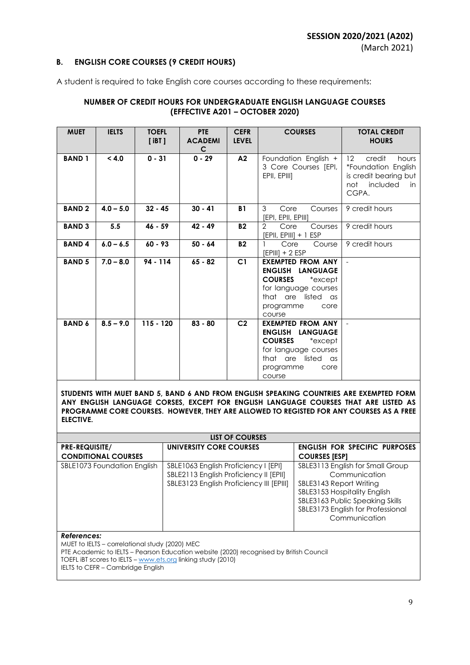#### **B. ENGLISH CORE COURSES (9 CREDIT HOURS)**

A student is required to take English core courses according to these requirements:

## **NUMBER OF CREDIT HOURS FOR UNDERGRADUATE ENGLISH LANGUAGE COURSES (EFFECTIVE A201 – OCTOBER 2020)**

| <b>MUET</b>   | <b>IELTS</b> | <b>TOEFL</b><br>$[$ iBT $]$ | <b>PTE</b><br><b>ACADEMI</b><br>$\mathsf{C}$ | <b>CEFR</b><br><b>LEVEL</b> | <b>COURSES</b>                                                                                                                                                          | <b>TOTAL CREDIT</b><br><b>HOURS</b>                                                                                 |
|---------------|--------------|-----------------------------|----------------------------------------------|-----------------------------|-------------------------------------------------------------------------------------------------------------------------------------------------------------------------|---------------------------------------------------------------------------------------------------------------------|
| <b>BAND1</b>  | < 4.0        | $0 - 31$                    | $0 - 29$                                     | A2                          | Foundation English +<br>3 Core Courses [EPI,  <br>EPII, EPIII]                                                                                                          | $12 \overline{ }$<br>credit<br>hours<br>*Foundation English<br>is credit bearing but<br>not included<br>in<br>CGPA. |
| <b>BAND2</b>  | $4.0 - 5.0$  | $32 - 45$                   | $30 - 41$                                    | <b>B1</b>                   | 3<br>Core<br>Courses<br>[EPI, EPII, EPIII]                                                                                                                              | 9 credit hours                                                                                                      |
| <b>BAND 3</b> | 5.5          | $46 - 59$                   | $42 - 49$                                    | <b>B2</b>                   | $\overline{2}$<br>Core<br>Courses<br>[EPII, EPIII] + 1 ESP                                                                                                              | 9 credit hours                                                                                                      |
| <b>BAND4</b>  | $6.0 - 6.5$  | $60 - 93$                   | $50 - 64$                                    | <b>B2</b>                   | Core<br>Course<br>$[EPIII] + 2 ESP$                                                                                                                                     | 9 credit hours                                                                                                      |
| <b>BAND 5</b> | $7.0 - 8.0$  | $94 - 114$                  | $65 - 82$                                    | C1                          | <b>EXEMPTED FROM ANY</b><br>ENGLISH LANGUAGE<br><b>COURSES</b><br>$*$ except $\,$<br>for language courses<br>that are listed as<br>programme<br>core<br>course          | $\overline{\phantom{a}}$                                                                                            |
| <b>BAND 6</b> | $8.5 - 9.0$  | $115 - 120$                 | $83 - 80$                                    | C <sub>2</sub>              | <b>EXEMPTED FROM ANY</b><br><b>LANGUAGE</b><br><b>ENGLISH</b><br><b>COURSES</b><br>*except<br>for language courses<br>that are listed as<br>programme<br>core<br>course | $\overline{\phantom{a}}$                                                                                            |

**STUDENTS WITH MUET BAND 5, BAND 6 AND FROM ENGLISH SPEAKING COUNTRIES ARE EXEMPTED FORM ANY ENGLISH LANGUAGE CORSES, EXCEPT FOR ENGLISH LANGUAGE COURSES THAT ARE LISTED AS PROGRAMME CORE COURSES. HOWEVER, THEY ARE ALLOWED TO REGISTED FOR ANY COURSES AS A FREE ELECTIVE.**

|                             | <b>LIST OF COURSES</b>                                                                                                     |                                                                                                                                                                                                       |  |  |  |
|-----------------------------|----------------------------------------------------------------------------------------------------------------------------|-------------------------------------------------------------------------------------------------------------------------------------------------------------------------------------------------------|--|--|--|
| <b>PRE-REQUISITE/</b>       | UNIVERSITY CORE COURSES                                                                                                    | <b>ENGLISH FOR SPECIFIC PURPOSES</b>                                                                                                                                                                  |  |  |  |
| <b>CONDITIONAL COURSES</b>  |                                                                                                                            | <b>COURSES [ESP]</b>                                                                                                                                                                                  |  |  |  |
| SBLE1073 Foundation English | SBLE1063 English Proficiency I [EPI]<br>SBLE2113 English Proficiency II [EPII]<br>SBLE3123 English Proficiency III [EPIII] | SBLE3113 English for Small Group<br>Communication<br>SBLE3143 Report Writing<br>SBLE3153 Hospitality English<br>SBLE3163 Public Speaking Skills<br>SBLE3173 English for Professional<br>Communication |  |  |  |

#### *References:*

MUET to IELTS – correlational study (2020) MEC

PTE Academic to IELTS – Pearson Education website (2020) recognised by British Council

TOEFL IBT scores to IELTS – [www.ets.org](http://www.ets.org/) linking study (2010)

IELTS to CEFR - Cambridge English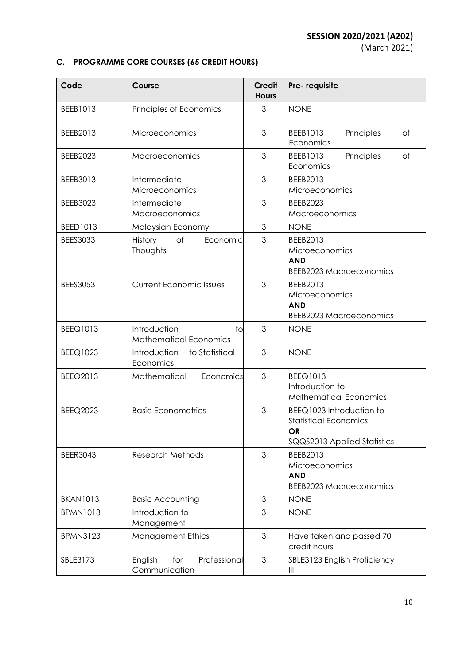(March 2021)

# **C. PROGRAMME CORE COURSES (65 CREDIT HOURS)**

| Code            | Course                                              | <b>Credit</b><br><b>Hours</b> | Pre-requisite                                                                                        |
|-----------------|-----------------------------------------------------|-------------------------------|------------------------------------------------------------------------------------------------------|
| BEEB1013        | Principles of Economics                             | 3                             | <b>NONE</b>                                                                                          |
| BEEB2013        | Microeconomics                                      | 3                             | Principles<br>BEEB1013<br>of<br>Economics                                                            |
| <b>BEEB2023</b> | Macroeconomics                                      | 3                             | BEEB1013<br>Principles<br>of<br>Economics                                                            |
| BEEB3013        | Intermediate<br>Microeconomics                      | 3                             | BEEB2013<br>Microeconomics                                                                           |
| <b>BEEB3023</b> | Intermediate<br>Macroeconomics                      | 3                             | <b>BEEB2023</b><br>Macroeconomics                                                                    |
| BEED1013        | Malaysian Economy                                   | 3                             | <b>NONE</b>                                                                                          |
| <b>BEES3033</b> | of<br>Economic<br>History<br>Thoughts               | 3                             | BEEB2013<br>Microeconomics<br><b>AND</b><br><b>BEEB2023 Macroeconomics</b>                           |
| <b>BEES3053</b> | <b>Current Economic Issues</b>                      | 3                             | BEEB2013<br>Microeconomics<br><b>AND</b><br><b>BEEB2023 Macroeconomics</b>                           |
| <b>BEEQ1013</b> | Introduction<br>to<br><b>Mathematical Economics</b> | 3                             | <b>NONE</b>                                                                                          |
| <b>BEEQ1023</b> | Introduction<br>to Statistical<br>Economics         | 3                             | <b>NONE</b>                                                                                          |
| BEEQ2013        | Mathematical<br>Economics                           | 3                             | BEEQ1013<br>Introduction to<br><b>Mathematical Economics</b>                                         |
| <b>BEEQ2023</b> | <b>Basic Econometrics</b>                           | 3                             | BEEQ1023 Introduction to<br><b>Statistical Economics</b><br><b>OR</b><br>SQQS2013 Applied Statistics |
| <b>BEER3043</b> | <b>Research Methods</b>                             | 3                             | BEEB2013<br>Microeconomics<br><b>AND</b><br><b>BEEB2023 Macroeconomics</b>                           |
| <b>BKAN1013</b> | <b>Basic Accounting</b>                             | 3                             | <b>NONE</b>                                                                                          |
| <b>BPMN1013</b> | Introduction to<br>Management                       | 3                             | <b>NONE</b>                                                                                          |
| <b>BPMN3123</b> | <b>Management Ethics</b>                            | $\mathfrak{S}$                | Have taken and passed 70<br>credit hours                                                             |
| SBLE3173        | Professional<br>English<br>for<br>Communication     | $\mathfrak{S}$                | SBLE3123 English Proficiency<br>Ш                                                                    |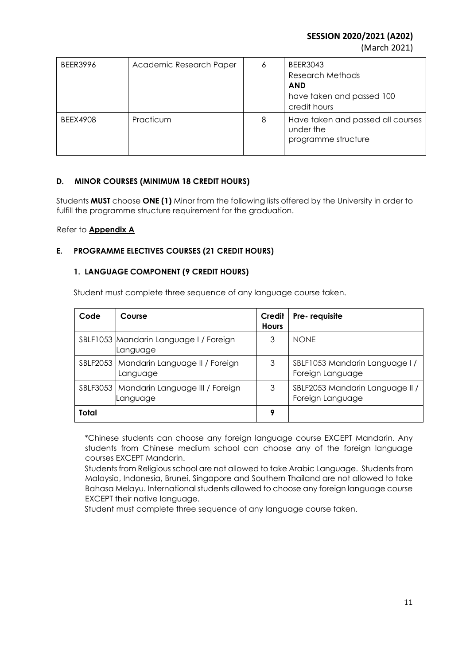**SESSION 2020/2021 (A202)**

(March 2021)

| <b>BEER3996</b> | Academic Research Paper | 6 | <b>BEER3043</b><br>Research Methods<br><b>AND</b><br>have taken and passed 100<br>credit hours |
|-----------------|-------------------------|---|------------------------------------------------------------------------------------------------|
| <b>BEEX4908</b> | Practicum               | 8 | Have taken and passed all courses<br>under the<br>programme structure                          |

# **D. MINOR COURSES (MINIMUM 18 CREDIT HOURS)**

Students **MUST** choose **ONE (1)** Minor from the following lists offered by the University in order to fulfill the programme structure requirement for the graduation.

Refer to **Appendix A**

## **E. PROGRAMME ELECTIVES COURSES (21 CREDIT HOURS)**

## **1. LANGUAGE COMPONENT (9 CREDIT HOURS)**

Student must complete three sequence of any language course taken.

| Code  | Course                                                 | Credit<br><b>Hours</b> | Pre-requisite                                       |
|-------|--------------------------------------------------------|------------------------|-----------------------------------------------------|
|       | SBLF1053 Mandarin Language I / Foreign<br>Language     | 3                      | <b>NONE</b>                                         |
|       | SBLF2053   Mandarin Language II / Foreign<br>Language  | 3                      | SBLF1053 Mandarin Language I/<br>Foreign Language   |
|       | SBLF3053   Mandarin Language III / Foreign<br>Language | 3                      | SBLF2053 Mandarin Language II /<br>Foreign Language |
| Total |                                                        | 9                      |                                                     |

\*Chinese students can choose any foreign language course EXCEPT Mandarin. Any students from Chinese medium school can choose any of the foreign language courses EXCEPT Mandarin.

Students from Religious school are not allowed to take Arabic Language. Students from Malaysia, Indonesia, Brunei, Singapore and Southern Thailand are not allowed to take Bahasa Melayu. International students allowed to choose any foreign language course EXCEPT their native language.

Student must complete three sequence of any language course taken.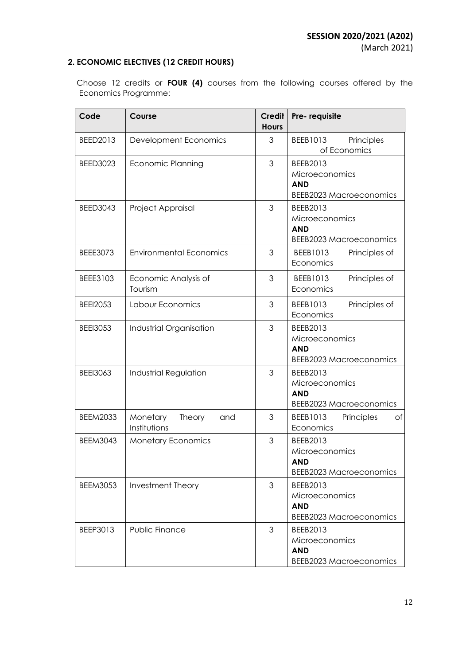# **2. ECONOMIC ELECTIVES (12 CREDIT HOURS)**

 Choose 12 credits or **FOUR (4)** courses from the following courses offered by the Economics Programme:

| Code            | Course                                    | Credit<br><b>Hours</b> | Pre-requisite                                                                     |
|-----------------|-------------------------------------------|------------------------|-----------------------------------------------------------------------------------|
| BEED2013        | Development Economics                     | 3                      | Principles<br>BEEB1013<br>of Economics                                            |
| <b>BEED3023</b> | <b>Economic Planning</b>                  | 3                      | BEEB2013<br><b>Microeconomics</b><br><b>AND</b><br><b>BEEB2023 Macroeconomics</b> |
| <b>BEED3043</b> | Project Appraisal                         | 3                      | BEEB2013<br>Microeconomics<br><b>AND</b><br><b>BEEB2023 Macroeconomics</b>        |
| <b>BEEE3073</b> | <b>Environmental Economics</b>            | 3                      | Principles of<br>BEEB1013<br>Economics                                            |
| BEEE3103        | Economic Analysis of<br>Tourism           | 3                      | Principles of<br>BEEB1013<br>Economics                                            |
| <b>BEEI2053</b> | Labour Economics                          | 3                      | Principles of<br>BEEB1013<br>Economics                                            |
| <b>BEEI3053</b> | Industrial Organisation                   | 3                      | BEEB2013<br>Microeconomics<br><b>AND</b><br><b>BEEB2023 Macroeconomics</b>        |
| <b>BEEI3063</b> | <b>Industrial Regulation</b>              | 3                      | BEEB2013<br>Microeconomics<br><b>AND</b><br><b>BEEB2023 Macroeconomics</b>        |
| <b>BEEM2033</b> | Monetary<br>Theory<br>and<br>Institutions | 3                      | Principles<br>BEEB1013<br>Οf<br>Economics                                         |
| <b>BEEM3043</b> | <b>Monetary Economics</b>                 | 3                      | BEEB2013<br>Microeconomics<br>AND<br><b>BEEB2023 Macroeconomics</b>               |
| <b>BEEM3053</b> | Investment Theory                         | 3                      | BEEB2013<br><b>Microeconomics</b><br><b>AND</b><br><b>BEEB2023 Macroeconomics</b> |
| BEEP3013        | <b>Public Finance</b>                     | 3                      | BEEB2013<br>Microeconomics<br><b>AND</b><br><b>BEEB2023 Macroeconomics</b>        |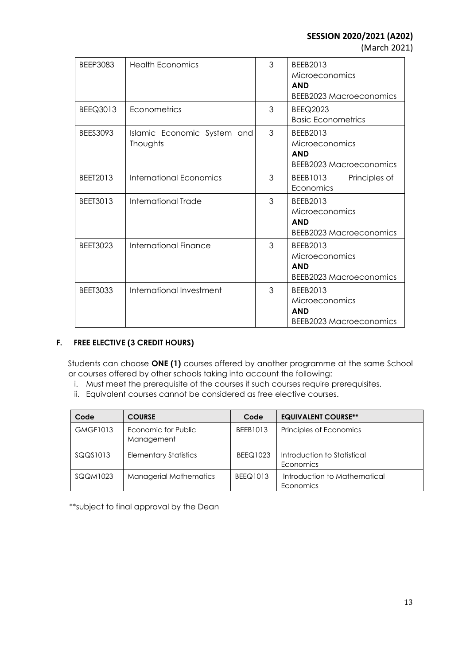(March 2021)

| <b>BEEP3083</b> | <b>Health Economics</b>                 | 3 | BEEB2013<br>Microeconomics<br><b>AND</b><br><b>BEEB2023 Macroeconomics</b> |
|-----------------|-----------------------------------------|---|----------------------------------------------------------------------------|
| BEEQ3013        | Econometrics                            | 3 | <b>BEEQ2023</b><br><b>Basic Econometrics</b>                               |
| <b>BEES3093</b> | Islamic Economic System and<br>Thoughts | 3 | BEEB2013<br>Microeconomics<br><b>AND</b><br>BEEB2023 Macroeconomics        |
| BEET2013        | International Economics                 | 3 | BEEB1013<br>Principles of<br>Economics                                     |
| BEET3013        | International Trade                     | 3 | BEEB2013<br>Microeconomics<br><b>AND</b><br>BEEB2023 Macroeconomics        |
| <b>BEET3023</b> | International Finance                   | 3 | BEEB2013<br>Microeconomics<br><b>AND</b><br><b>BEEB2023 Macroeconomics</b> |
| <b>BEET3033</b> | International Investment                | 3 | BEEB2013<br>Microeconomics<br><b>AND</b><br>BEEB2023 Macroeconomics        |

# **F. FREE ELECTIVE (3 CREDIT HOURS)**

Students can choose **ONE (1)** courses offered by another programme at the same School or courses offered by other schools taking into account the following:

- i. Must meet the prerequisite of the courses if such courses require prerequisites.
- ii. Equivalent courses cannot be considered as free elective courses.

| Code            | <b>COURSE</b>                     | Code            | <b>EQUIVALENT COURSE**</b>                |
|-----------------|-----------------------------------|-----------------|-------------------------------------------|
| <b>GMGF1013</b> | Economic for Public<br>Management | BEEB1013        | Principles of Economics                   |
| SQQS1013        | <b>Elementary Statistics</b>      | <b>BEEQ1023</b> | Introduction to Statistical<br>Economics  |
| SQQM1023        | <b>Managerial Mathematics</b>     | <b>BEEQ1013</b> | Introduction to Mathematical<br>Economics |

\*\*subject to final approval by the Dean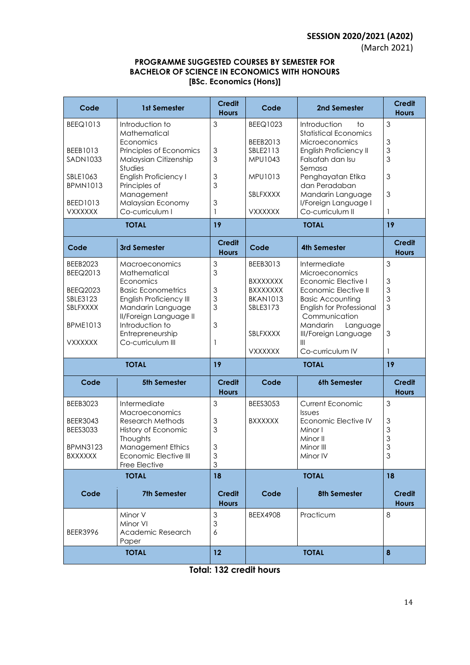(March 2021)

## **PROGRAMME SUGGESTED COURSES BY SEMESTER FOR BACHELOR OF SCIENCE IN ECONOMICS WITH HONOURS [BSc. Economics (Hons)]**

| Code                       | 1st Semester                                      | <b>Credit</b><br><b>Hours</b> | Code            | 2nd Semester                                          | <b>Credit</b><br><b>Hours</b> |
|----------------------------|---------------------------------------------------|-------------------------------|-----------------|-------------------------------------------------------|-------------------------------|
| <b>BEEQ1013</b>            | Introduction to                                   | 3                             | BEEQ1023        | Introduction<br>to                                    | 3                             |
|                            | Mathematical<br>Economics                         |                               | BEEB2013        | <b>Statistical Economics</b><br><b>Microeconomics</b> | 3                             |
| BEEB1013                   | Principles of Economics                           | $\mathfrak{Z}$                | SBLE2113        | English Proficiency II                                | 3                             |
| SADN1033                   | Malaysian Citizenship                             | 3                             | MPU1043         | Falsafah dan Isu                                      | 3                             |
| SBLE1063                   | Studies<br><b>English Proficiency I</b>           | $\mathfrak 3$                 | MPU1013         | Semasa<br>Penghayatan Etika                           | 3                             |
| <b>BPMN1013</b>            | Principles of                                     | 3                             |                 | dan Peradaban                                         |                               |
|                            | Management                                        |                               | SBLFXXXX        | Mandarin Language                                     | 3                             |
| BEED1013<br><b>VXXXXXX</b> | Malaysian Economy<br>Co-curriculum I              | 3<br>1                        | <b>VXXXXXX</b>  | I/Foreign Language I<br>Co-curriculum II              | 1                             |
|                            | <b>TOTAL</b>                                      | 19                            |                 | <b>TOTAL</b>                                          | 19                            |
|                            |                                                   | Credit                        |                 |                                                       | <b>Credit</b>                 |
| Code                       | 3rd Semester                                      | <b>Hours</b>                  | Code            | <b>4th Semester</b>                                   | <b>Hours</b>                  |
| <b>BEEB2023</b>            | Macroeconomics                                    | 3<br>3                        | BEEB3013        | Intermediate                                          | 3                             |
| BEEQ2013                   | Mathematical<br>Economics                         |                               | <b>BXXXXXXX</b> | Microeconomics<br>Economic Elective I                 | 3                             |
| <b>BEEQ2023</b>            | <b>Basic Econometrics</b>                         | 3                             | <b>BXXXXXXX</b> | Economic Elective II                                  | 3                             |
| SBLE3123                   | <b>English Proficiency III</b>                    | 3                             | <b>BKAN1013</b> | <b>Basic Accounting</b>                               | 3                             |
| SBLFXXXX                   | Mandarin Language<br>II/Foreign Language II       | 3                             | SBLE3173        | English for Professional<br>Communication             | 3                             |
| <b>BPME1013</b>            | Introduction to                                   | $\mathfrak{Z}$                |                 | Mandarin<br>Language                                  |                               |
|                            | Entrepreneurship                                  |                               | <b>SBLFXXXX</b> | III/Foreign Language                                  | 3                             |
| <b>VXXXXXX</b>             | Co-curriculum III                                 | 1                             | <b>VXXXXXX</b>  | III<br>Co-curriculum IV                               | 1                             |
|                            | <b>TOTAL</b>                                      | 19                            |                 | <b>TOTAL</b>                                          | 19                            |
| Code                       | <b>5th Semester</b>                               | <b>Credit</b>                 | Code            | 6th Semester                                          | <b>Credit</b>                 |
|                            |                                                   | <b>Hours</b>                  |                 |                                                       | <b>Hours</b>                  |
| <b>BEEB3023</b>            | Intermediate<br>Macroeconomics                    | 3                             | <b>BEES3053</b> | <b>Current Economic</b><br><b>Issues</b>              | 3                             |
| <b>BEER3043</b>            | <b>Research Methods</b>                           | 3                             | <b>BXXXXXX</b>  | Economic Elective IV                                  | 3                             |
| <b>BEES3033</b>            | History of Economic                               | 3                             |                 | Minor I                                               | 3                             |
| <b>BPMN3123</b>            | Thoughts                                          | 3                             |                 | Minor II<br>Minor III                                 | 3<br>3                        |
| <b>BXXXXXX</b>             | <b>Management Ethics</b><br>Economic Elective III | $\ensuremath{\mathsf{3}}$     |                 | Minor IV                                              | 3                             |
|                            | Free Elective                                     | $\mathfrak 3$                 |                 |                                                       |                               |
|                            | <b>TOTAL</b>                                      | 18                            |                 | <b>TOTAL</b>                                          | 18                            |
| Code                       | <b>7th Semester</b>                               | <b>Credit</b><br><b>Hours</b> | Code            | <b>8th Semester</b>                                   | <b>Credit</b><br><b>Hours</b> |
|                            | Minor V                                           | $\mathfrak{S}$                | <b>BEEX4908</b> | Practicum                                             | 8                             |
|                            | Minor VI                                          | $\mathfrak 3$                 |                 |                                                       |                               |
| <b>BEER3996</b>            | Academic Research<br>Paper                        | 6                             |                 |                                                       |                               |
|                            | <b>TOTAL</b>                                      | 12                            |                 | <b>TOTAL</b>                                          | 8                             |
|                            |                                                   |                               |                 |                                                       |                               |

**Total: 132 credit hours**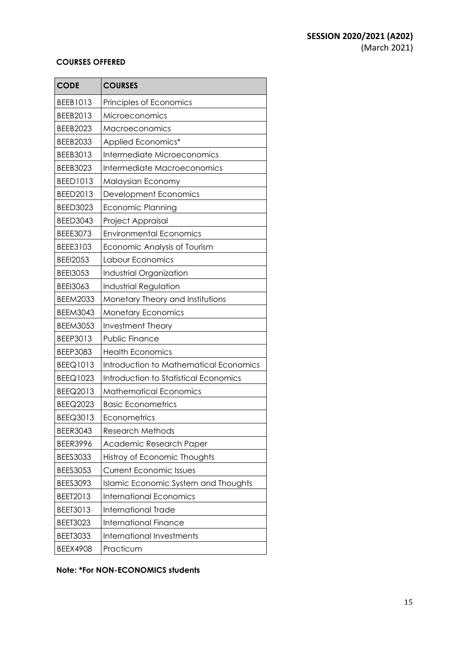#### **COURSES OFFERED**

| <b>CODE</b>     | <b>COURSES</b>                         |
|-----------------|----------------------------------------|
| BEEB1013        | Principles of Economics                |
| BEEB2013        | Microeconomics                         |
| <b>BEEB2023</b> | Macroeconomics                         |
| <b>BEEB2033</b> | Applied Economics*                     |
| BEEB3013        | Intermediate Microeconomics            |
| BEEB3023        | Intermediate Macroeconomics            |
| BEED1013        | Malaysian Economy                      |
| BEED2013        | Development Economics                  |
| <b>BEED3023</b> | Economic Planning                      |
| <b>BEED3043</b> | Project Appraisal                      |
| BEEE3073        | <b>Environmental Economics</b>         |
| BEEE3103        | Economic Analysis of Tourism           |
| <b>BEEI2053</b> | Labour Economics                       |
| <b>BEEI3053</b> | Industrial Organization                |
| <b>BEEI3063</b> | <b>Industrial Regulation</b>           |
| <b>BEEM2033</b> | Monetary Theory and Institutions       |
| <b>BEEM3043</b> | <b>Monetary Economics</b>              |
| <b>BEEM3053</b> | Investment Theory                      |
| BEEP3013        | Public Finance                         |
| BEEP3083        | <b>Health Economics</b>                |
| <b>BEEQ1013</b> | Introduction to Mathematical Economics |
| BEEQ1023        | Introduction to Statistical Economics  |
| BEEQ2013        | <b>Mathematical Economics</b>          |
| <b>BEEQ2023</b> | <b>Basic Econometrics</b>              |
| BEEQ3013        | Econometrics                           |
| <b>BEER3043</b> | Research Methods                       |
| <b>BEER3996</b> | Academic Research Paper                |
| <b>BEES3033</b> | Histroy of Economic Thoughts           |
| <b>BEES3053</b> | <b>Current Economic Issues</b>         |
| BEES3093        | Islamic Economic System and Thoughts   |
| BEET2013        | <b>International Economics</b>         |
| BEET3013        | <b>International Trade</b>             |
| <b>BEET3023</b> | <b>International Finance</b>           |
| <b>BEET3033</b> | <b>International Investments</b>       |
| <b>BEEX4908</b> | Practicum                              |

**Note: \*For NON-ECONOMICS students**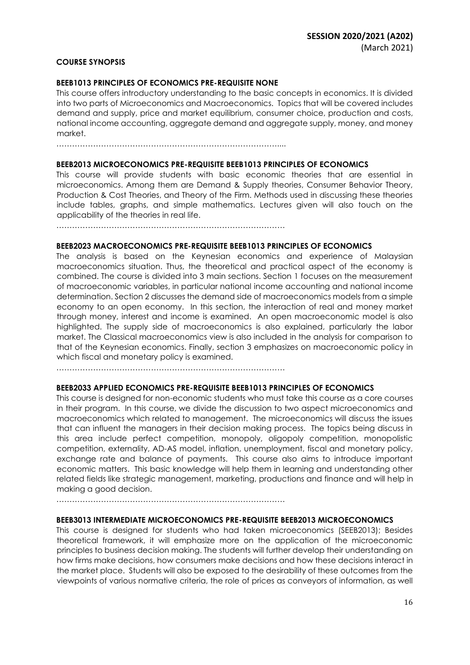#### **COURSE SYNOPSIS**

#### **BEEB1013 PRINCIPLES OF ECONOMICS PRE-REQUISITE NONE**

This course offers introductory understanding to the basic concepts in economics. It is divided into two parts of Microeconomics and Macroeconomics. Topics that will be covered includes demand and supply, price and market equilibrium, consumer choice, production and costs, national income accounting, aggregate demand and aggregate supply, money, and money market.

…………………………………………………………………………....

#### **BEEB2013 MICROECONOMICS PRE-REQUISITE BEEB1013 PRINCIPLES OF ECONOMICS**

This course will provide students with basic economic theories that are essential in microeconomics. Among them are Demand & Supply theories, Consumer Behavior Theory, Production & Cost Theories, and Theory of the Firm. Methods used in discussing these theories include tables, graphs, and simple mathematics. Lectures given will also touch on the applicability of the theories in real life.

……………………………………………………………………………

#### **BEEB2023 MACROECONOMICS PRE-REQUISITE BEEB1013 PRINCIPLES OF ECONOMICS**

The analysis is based on the Keynesian economics and experience of Malaysian macroeconomics situation. Thus, the theoretical and practical aspect of the economy is combined. The course is divided into 3 main sections. Section 1 focuses on the measurement of macroeconomic variables, in particular national income accounting and national income determination. Section 2 discusses the demand side of macroeconomics models from a simple economy to an open economy. In this section, the interaction of real and money market through money, interest and income is examined. An open macroeconomic model is also highlighted. The supply side of macroeconomics is also explained, particularly the labor market. The Classical macroeconomics view is also included in the analysis for comparison to that of the Keynesian economics. Finally, section 3 emphasizes on macroeconomic policy in which fiscal and monetary policy is examined.

……………………………………………………………………………

#### **BEEB2033 APPLIED ECONOMICS PRE-REQUISITE BEEB1013 PRINCIPLES OF ECONOMICS**

This course is designed for non-economic students who must take this course as a core courses in their program. In this course, we divide the discussion to two aspect microeconomics and macroeconomics which related to management. The microeconomics will discuss the issues that can influent the managers in their decision making process. The topics being discuss in this area include perfect competition, monopoly, oligopoly competition, monopolistic competition, externality, AD-AS model, inflation, unemployment, fiscal and monetary policy, exchange rate and balance of payments. This course also aims to introduce important economic matters. This basic knowledge will help them in learning and understanding other related fields like strategic management, marketing, productions and finance and will help in making a good decision.

……………………………………………………………………………

#### **BEEB3013 INTERMEDIATE MICROECONOMICS PRE-REQUISITE BEEB2013 MICROECONOMICS**

This course is designed for students who had taken microeconomics (SEEB2013); Besides theoretical framework, it will emphasize more on the application of the microeconomic principles to business decision making. The students will further develop their understanding on how firms make decisions, how consumers make decisions and how these decisions interact in the market place. Students will also be exposed to the desirability of these outcomes from the viewpoints of various normative criteria, the role of prices as conveyors of information, as well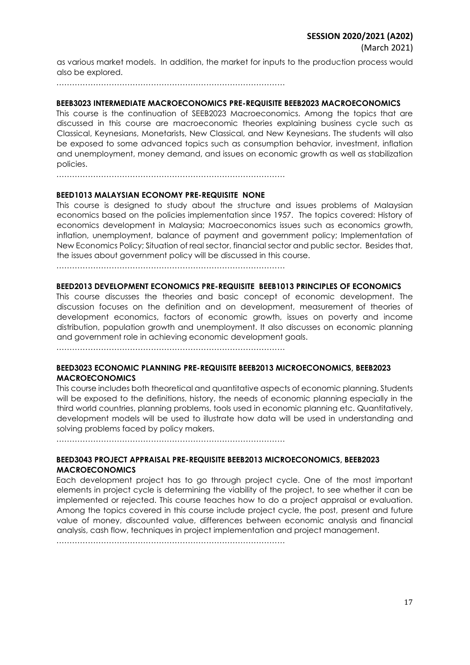as various market models. In addition, the market for inputs to the production process would also be explored.

……………………………………………………………………………

#### **BEEB3023 INTERMEDIATE MACROECONOMICS PRE-REQUISITE BEEB2023 MACROECONOMICS**

This course is the continuation of SEEB2023 Macroeconomics. Among the topics that are discussed in this course are macroeconomic theories explaining business cycle such as Classical, Keynesians, Monetarists, New Classical, and New Keynesians. The students will also be exposed to some advanced topics such as consumption behavior, investment, inflation and unemployment, money demand, and issues on economic growth as well as stabilization policies.

……………………………………………………………………………

#### **BEED1013 MALAYSIAN ECONOMY PRE-REQUISITE NONE**

This course is designed to study about the structure and issues problems of Malaysian economics based on the policies implementation since 1957. The topics covered: History of economics development in Malaysia; Macroeconomics issues such as economics growth, inflation, unemployment, balance of payment and government policy; Implementation of New Economics Policy; Situation of real sector, financial sector and public sector. Besides that, the issues about government policy will be discussed in this course.

……………………………………………………………………………

#### **BEED2013 DEVELOPMENT ECONOMICS PRE-REQUISITE BEEB1013 PRINCIPLES OF ECONOMICS**

This course discusses the theories and basic concept of economic development. The discussion focuses on the definition and on development, measurement of theories of development economics, factors of economic growth, issues on poverty and income distribution, population growth and unemployment. It also discusses on economic planning and government role in achieving economic development goals.

……………………………………………………………………………

#### **BEED3023 ECONOMIC PLANNING PRE-REQUISITE BEEB2013 MICROECONOMICS, BEEB2023 MACROECONOMICS**

This course includes both theoretical and quantitative aspects of economic planning. Students will be exposed to the definitions, history, the needs of economic planning especially in the third world countries, planning problems, tools used in economic planning etc. Quantitatively, development models will be used to illustrate how data will be used in understanding and solving problems faced by policy makers.

……………………………………………………………………………

### **BEED3043 PROJECT APPRAISAL PRE-REQUISITE BEEB2013 MICROECONOMICS, BEEB2023 MACROECONOMICS**

Each development project has to go through project cycle. One of the most important elements in project cycle is determining the viability of the project, to see whether it can be implemented or rejected. This course teaches how to do a project appraisal or evaluation. Among the topics covered in this course include project cycle, the post, present and future value of money, discounted value, differences between economic analysis and financial analysis, cash flow, techniques in project implementation and project management.

……………………………………………………………………………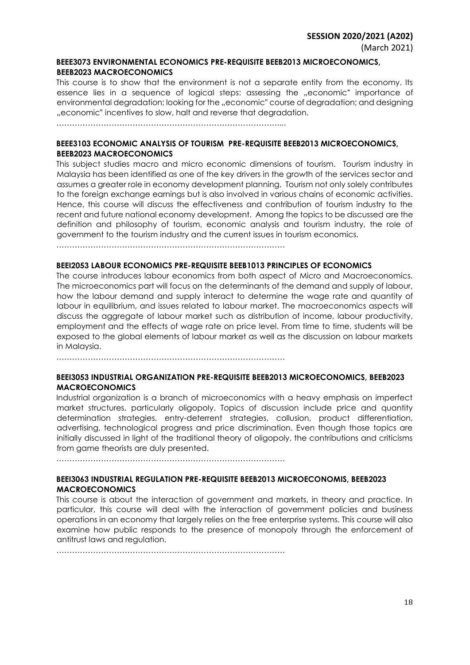### **BEEE3073 ENVIRONMENTAL ECONOMICS PRE-REQUISITE BEEB2013 MICROECONOMICS, BEEB2023 MACROECONOMICS**

This course is to show that the environment is not a separate entity from the economy. Its essence lies in a sequence of logical steps: assessing the "economic" importance of environmental degradation; looking for the "economic" course of degradation; and designing "economic" incentives to slow, halt and reverse that degradation.

…………………………………………………………………………....

## **BEEE3103 ECONOMIC ANALYSIS OF TOURISM PRE-REQUISITE BEEB2013 MICROECONOMICS, BEEB2023 MACROECONOMICS**

This subject studies macro and micro economic dimensions of tourism. Tourism industry in Malaysia has been identified as one of the key drivers in the growth of the services sector and assumes a greater role in economy development planning. Tourism not only solely contributes to the foreign exchange earnings but is also involved in various chains of economic activities. Hence, this course will discuss the effectiveness and contribution of tourism industry to the recent and future national economy development. Among the topics to be discussed are the definition and philosophy of tourism, economic analysis and tourism industry, the role of government to the tourism industry and the current issues in tourism economics.

……………………………………………………………………………

## **BEEI2053 LABOUR ECONOMICS PRE-REQUISITE BEEB1013 PRINCIPLES OF ECONOMICS**

The course introduces labour economics from both aspect of Micro and Macroeconomics. The microeconomics part will focus on the determinants of the demand and supply of labour, how the labour demand and supply interact to determine the wage rate and quantity of labour in equilibrium, and issues related to labour market. The macroeconomics aspects will discuss the aggregate of labour market such as distribution of income, labour productivity, employment and the effects of wage rate on price level. From time to time, students will be exposed to the global elements of labour market as well as the discussion on labour markets in Malaysia.

……………………………………………………………………………

## **BEEI3053 INDUSTRIAL ORGANIZATION PRE-REQUISITE BEEB2013 MICROECONOMICS, BEEB2023 MACROECONOMICS**

Industrial organization is a branch of microeconomics with a heavy emphasis on imperfect market structures, particularly oligopoly. Topics of discussion include price and quantity determination strategies, entry-deterrent strategies, collusion, product differentiation, advertising, technological progress and price discrimination. Even though those topics are initially discussed in light of the traditional theory of oligopoly, the contributions and criticisms from game theorists are duly presented.

……………………………………………………………………………

## **BEEI3063 INDUSTRIAL REGULATION PRE-REQUISITE BEEB2013 MICROECONOMIS, BEEB2023 MACROECONOMICS**

This course is about the interaction of government and markets, in theory and practice. In particular, this course will deal with the interaction of government policies and business operations in an economy that largely relies on the free enterprise systems. This course will also examine how public responds to the presence of monopoly through the enforcement of antitrust laws and regulation.

……………………………………………………………………………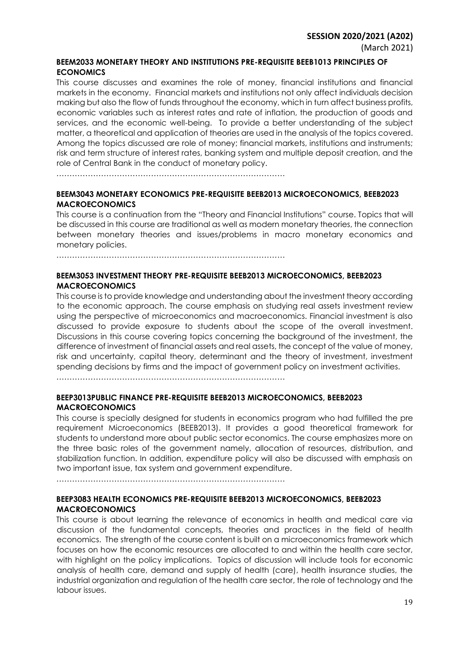### **SESSION 2020/2021 (A202)**

### **BEEM2033 MONETARY THEORY AND INSTITUTIONS PRE-REQUISITE BEEB1013 PRINCIPLES OF ECONOMICS**

This course discusses and examines the role of money, financial institutions and financial markets in the economy. Financial markets and institutions not only affect individuals decision making but also the flow of funds throughout the economy, which in turn affect business profits, economic variables such as interest rates and rate of inflation, the production of goods and services, and the economic well-being. To provide a better understanding of the subject matter, a theoretical and application of theories are used in the analysis of the topics covered. Among the topics discussed are role of money; financial markets, institutions and instruments; risk and term structure of interest rates, banking system and multiple deposit creation, and the role of Central Bank in the conduct of monetary policy.

……………………………………………………………………………

## **BEEM3043 MONETARY ECONOMICS PRE-REQUISITE BEEB2013 MICROECONOMICS, BEEB2023 MACROECONOMICS**

This course is a continuation from the "Theory and Financial Institutions" course. Topics that will be discussed in this course are traditional as well as modern monetary theories, the connection between monetary theories and issues/problems in macro monetary economics and monetary policies.

……………………………………………………………………………

## **BEEM3053 INVESTMENT THEORY PRE-REQUISITE BEEB2013 MICROECONOMICS, BEEB2023 MACROECONOMICS**

This course is to provide knowledge and understanding about the investment theory according to the economic approach. The course emphasis on studying real assets investment review using the perspective of microeconomics and macroeconomics. Financial investment is also discussed to provide exposure to students about the scope of the overall investment. Discussions in this course covering topics concerning the background of the investment, the difference of investment of financial assets and real assets, the concept of the value of money, risk and uncertainty, capital theory, determinant and the theory of investment, investment spending decisions by firms and the impact of government policy on investment activities.

……………………………………………………………………………

## **BEEP3013PUBLIC FINANCE PRE-REQUISITE BEEB2013 MICROECONOMICS, BEEB2023 MACROECONOMICS**

This course is specially designed for students in economics program who had fulfilled the pre requirement Microeconomics (BEEB2013). It provides a good theoretical framework for students to understand more about public sector economics. The course emphasizes more on the three basic roles of the government namely, allocation of resources, distribution, and stabilization function. In addition, expenditure policy will also be discussed with emphasis on two important issue, tax system and government expenditure.

……………………………………………………………………………

## **BEEP3083 HEALTH ECONOMICS PRE-REQUISITE BEEB2013 MICROECONOMICS, BEEB2023 MACROECONOMICS**

This course is about learning the relevance of economics in health and medical care via discussion of the fundamental concepts, theories and practices in the field of health economics. The strength of the course content is built on a microeconomics framework which focuses on how the economic resources are allocated to and within the health care sector, with highlight on the policy implications. Topics of discussion will include tools for economic analysis of health care, demand and supply of health (care), health insurance studies, the industrial organization and regulation of the health care sector, the role of technology and the labour issues.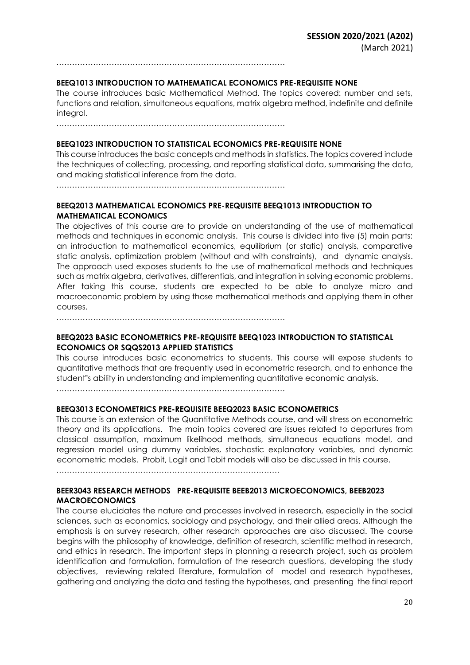……………………………………………………………………………

#### **BEEQ1013 INTRODUCTION TO MATHEMATICAL ECONOMICS PRE-REQUISITE NONE**

The course introduces basic Mathematical Method. The topics covered: number and sets, functions and relation, simultaneous equations, matrix algebra method, indefinite and definite integral.

……………………………………………………………………………

#### **BEEQ1023 INTRODUCTION TO STATISTICAL ECONOMICS PRE-REQUISITE NONE**

This course introduces the basic concepts and methods in statistics. The topics covered include the techniques of collecting, processing, and reporting statistical data, summarising the data, and making statistical inference from the data.

……………………………………………………………………………

## **BEEQ2013 MATHEMATICAL ECONOMICS PRE-REQUISITE BEEQ1013 INTRODUCTION TO MATHEMATICAL ECONOMICS**

The objectives of this course are to provide an understanding of the use of mathematical methods and techniques in economic analysis. This course is divided into five (5) main parts: an introduction to mathematical economics, equilibrium (or static) analysis, comparative static analysis, optimization problem (without and with constraints), and dynamic analysis. The approach used exposes students to the use of mathematical methods and techniques such as matrix algebra, derivatives, differentials, and integration in solving economic problems. After taking this course, students are expected to be able to analyze micro and macroeconomic problem by using those mathematical methods and applying them in other courses.

……………………………………………………………………………

## **BEEQ2023 BASIC ECONOMETRICS PRE-REQUISITE BEEQ1023 INTRODUCTION TO STATISTICAL ECONOMICS OR SQQS2013 APPLIED STATISTICS**

This course introduces basic econometrics to students. This course will expose students to quantitative methods that are frequently used in econometric research, and to enhance the student"s ability in understanding and implementing quantitative economic analysis.

……………………………………………………………………………

## **BEEQ3013 ECONOMETRICS PRE-REQUISITE BEEQ2023 BASIC ECONOMETRICS**

This course is an extension of the Quantitative Methods course, and will stress on econometric theory and its applications. The main topics covered are issues related to departures from classical assumption, maximum likelihood methods, simultaneous equations model, and regression model using dummy variables, stochastic explanatory variables, and dynamic econometric models. Probit, Logit and Tobit models will also be discussed in this course.

………………………………………………………………………….

## **BEER3043 RESEARCH METHODS PRE-REQUISITE BEEB2013 MICROECONOMICS, BEEB2023 MACROECONOMICS**

The course elucidates the nature and processes involved in research, especially in the social sciences, such as economics, sociology and psychology, and their allied areas. Although the emphasis is on survey research, other research approaches are also discussed. The course begins with the philosophy of knowledge, definition of research, scientific method in research, and ethics in research. The important steps in planning a research project, such as problem identification and formulation, formulation of the research questions, developing the study objectives, reviewing related literature, formulation of model and research hypotheses, gathering and analyzing the data and testing the hypotheses, and presenting the final report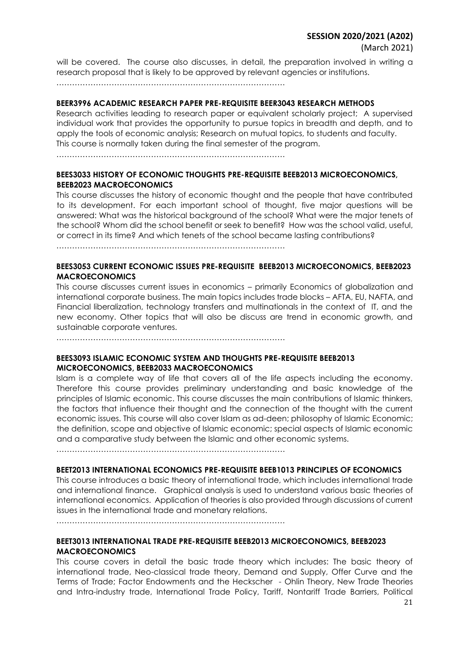## **SESSION 2020/2021 (A202)**

will be covered. The course also discusses, in detail, the preparation involved in writing a research proposal that is likely to be approved by relevant agencies or institutions.

……………………………………………………………………………

## **BEER3996 ACADEMIC RESEARCH PAPER PRE-REQUISITE BEER3043 RESEARCH METHODS**

Research activities leading to research paper or equivalent scholarly project; A supervised individual work that provides the opportunity to pursue topics in breadth and depth, and to apply the tools of economic analysis; Research on mutual topics, to students and faculty. This course is normally taken during the final semester of the program.

……………………………………………………………………………

## **BEES3033 HISTORY OF ECONOMIC THOUGHTS PRE-REQUISITE BEEB2013 MICROECONOMICS, BEEB2023 MACROECONOMICS**

This course discusses the history of economic thought and the people that have contributed to its development. For each important school of thought, five major questions will be answered: What was the historical background of the school? What were the major tenets of the school? Whom did the school benefit or seek to benefit? How was the school valid, useful, or correct in its time? And which tenets of the school became lasting contributions?

……………………………………………………………………………

## **BEES3053 CURRENT ECONOMIC ISSUES PRE-REQUISITE BEEB2013 MICROECONOMICS, BEEB2023 MACROECONOMICS**

This course discusses current issues in economics – primarily Economics of globalization and international corporate business. The main topics includes trade blocks – AFTA, EU, NAFTA, and Financial liberalization, technology transfers and multinationals in the context of IT, and the new economy. Other topics that will also be discuss are trend in economic growth, and sustainable corporate ventures.

……………………………………………………………………………

## **BEES3093 ISLAMIC ECONOMIC SYSTEM AND THOUGHTS PRE-REQUISITE BEEB2013 MICROECONOMICS, BEEB2033 MACROECONOMICS**

Islam is a complete way of life that covers all of the life aspects including the economy. Therefore this course provides preliminary understanding and basic knowledge of the principles of Islamic economic. This course discusses the main contributions of Islamic thinkers, the factors that influence their thought and the connection of the thought with the current economic issues. This course will also cover Islam as ad-deen; philosophy of Islamic Economic; the definition, scope and objective of Islamic economic; special aspects of Islamic economic and a comparative study between the Islamic and other economic systems.

……………………………………………………………………………

### **BEET2013 INTERNATIONAL ECONOMICS PRE-REQUISITE BEEB1013 PRINCIPLES OF ECONOMICS**

This course introduces a basic theory of international trade, which includes international trade and international finance. Graphical analysis is used to understand various basic theories of international economics. Application of theories is also provided through discussions of current issues in the international trade and monetary relations.

……………………………………………………………………………

## **BEET3013 INTERNATIONAL TRADE PRE-REQUISITE BEEB2013 MICROECONOMICS, BEEB2023 MACROECONOMICS**

This course covers in detail the basic trade theory which includes: The basic theory of international trade, Neo-classical trade theory, Demand and Supply, Offer Curve and the Terms of Trade; Factor Endowments and the Heckscher - Ohlin Theory, New Trade Theories and Intra-industry trade, International Trade Policy, Tariff, Nontariff Trade Barriers, Political